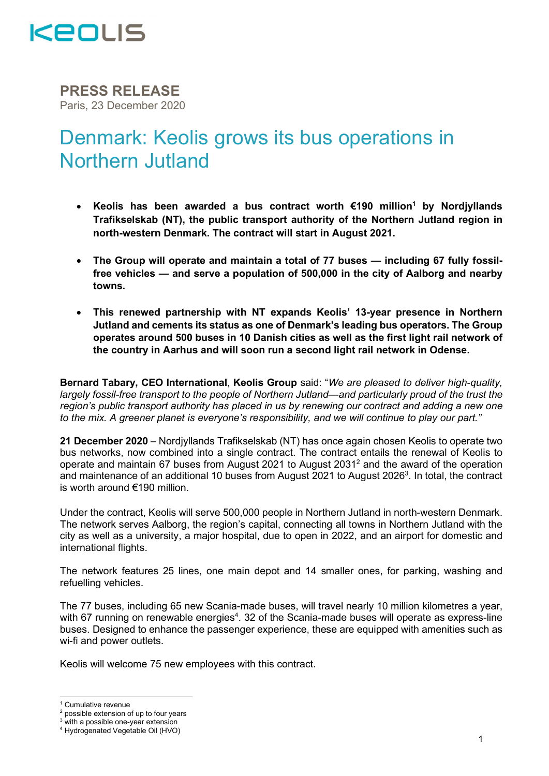

PRESS RELEASE Paris, 23 December 2020

# Denmark: Keolis grows its bus operations in Northern Jutland

- Keolis has been awarded a bus contract worth €190 million<sup>1</sup> by Nordjyllands Trafikselskab (NT), the public transport authority of the Northern Jutland region in north-western Denmark. The contract will start in August 2021.
- The Group will operate and maintain a total of 77 buses including 67 fully fossilfree vehicles — and serve a population of 500,000 in the city of Aalborg and nearby towns.
- This renewed partnership with NT expands Keolis' 13-year presence in Northern Jutland and cements its status as one of Denmark's leading bus operators. The Group operates around 500 buses in 10 Danish cities as well as the first light rail network of the country in Aarhus and will soon run a second light rail network in Odense.

Bernard Tabary, CEO International, Keolis Group said: "We are pleased to deliver high-quality, largely fossil-free transport to the people of Northern Jutland—and particularly proud of the trust the region's public transport authority has placed in us by renewing our contract and adding a new one to the mix. A greener planet is everyone's responsibility, and we will continue to play our part."

21 December 2020 – Nordivllands Trafikselskab (NT) has once again chosen Keolis to operate two bus networks, now combined into a single contract. The contract entails the renewal of Keolis to operate and maintain 67 buses from August 2021 to August 2031<sup>2</sup> and the award of the operation and maintenance of an additional 10 buses from August 2021 to August 2026<sup>3</sup>. In total, the contract is worth around €190 million.

Under the contract, Keolis will serve 500,000 people in Northern Jutland in north-western Denmark. The network serves Aalborg, the region's capital, connecting all towns in Northern Jutland with the city as well as a university, a major hospital, due to open in 2022, and an airport for domestic and international flights.

The network features 25 lines, one main depot and 14 smaller ones, for parking, washing and refuelling vehicles.

The 77 buses, including 65 new Scania-made buses, will travel nearly 10 million kilometres a year, with 67 running on renewable energies<sup>4</sup>. 32 of the Scania-made buses will operate as express-line buses. Designed to enhance the passenger experience, these are equipped with amenities such as wi-fi and power outlets.

Keolis will welcome 75 new employees with this contract.

<sup>1</sup> Cumulative revenue

<sup>&</sup>lt;sup>2</sup> possible extension of up to four years

 $3$  with a possible one-year extension

<sup>4</sup> Hydrogenated Vegetable Oil (HVO)